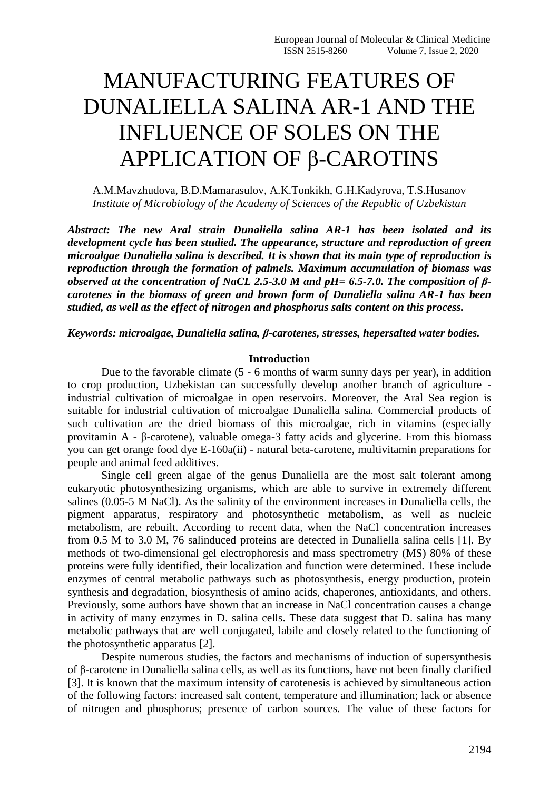# MANUFACTURING FEATURES OF DUNALIELLA SALINA AR-1 AND THE INFLUENCE OF SOLES ON THE APPLICATION OF β-CAROTINS

A.M.Mavzhudova, B.D.Mamarasulov, A.K.Tonkikh, G.H.Kadyrova, T.S.Husanov *Institute of Microbiology of the Academy of Sciences of the Republic of Uzbekistan*

*Abstract: The new Aral strain Dunaliella salina AR-1 has been isolated and its development cycle has been studied. The appearance, structure and reproduction of green microalgae Dunaliella salina is described. It is shown that its main type of reproduction is reproduction through the formation of palmels. Maximum accumulation of biomass was observed at the concentration of NaCL 2.5-3.0 M and pH= 6.5-7.0. The composition of βcarotenes in the biomass of green and brown form of Dunaliella salina AR-1 has been studied, as well as the effect of nitrogen and phosphorus salts content on this process.*

*Keywords: microalgae, Dunaliella salina, β-carotenes, stresses, hepersalted water bodies.*

#### **Introduction**

Due to the favorable climate (5 - 6 months of warm sunny days per year), in addition to crop production, Uzbekistan can successfully develop another branch of agriculture industrial cultivation of microalgae in open reservoirs. Moreover, the Aral Sea region is suitable for industrial cultivation of microalgae Dunaliella salina. Commercial products of such cultivation are the dried biomass of this microalgae, rich in vitamins (especially provitamin A - β-carotene), valuable omega-3 fatty acids and glycerine. From this biomass you can get orange food dye E-160a(ii) - natural beta-carotene, multivitamin preparations for people and animal feed additives.

Single cell green algae of the genus Dunaliella are the most salt tolerant among eukaryotic photosynthesizing organisms, which are able to survive in extremely different salines (0.05-5 M NaCl). As the salinity of the environment increases in Dunaliella cells, the pigment apparatus, respiratory and photosynthetic metabolism, as well as nucleic metabolism, are rebuilt. According to recent data, when the NaCl concentration increases from 0.5 M to 3.0 M, 76 salinduced proteins are detected in Dunaliella salina cells [1]. By methods of two-dimensional gel electrophoresis and mass spectrometry (MS) 80% of these proteins were fully identified, their localization and function were determined. These include enzymes of central metabolic pathways such as photosynthesis, energy production, protein synthesis and degradation, biosynthesis of amino acids, chaperones, antioxidants, and others. Previously, some authors have shown that an increase in NaCl concentration causes a change in activity of many enzymes in D. salina cells. These data suggest that D. salina has many metabolic pathways that are well conjugated, labile and closely related to the functioning of the photosynthetic apparatus [2].

Despite numerous studies, the factors and mechanisms of induction of supersynthesis of β-carotene in Dunaliella salina cells, as well as its functions, have not been finally clarified [3]. It is known that the maximum intensity of carotenesis is achieved by simultaneous action of the following factors: increased salt content, temperature and illumination; lack or absence of nitrogen and phosphorus; presence of carbon sources. The value of these factors for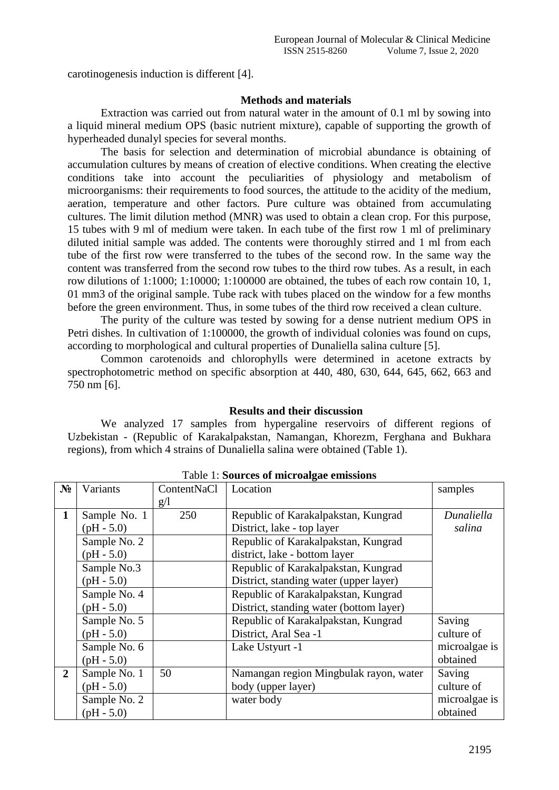carotinogenesis induction is different [4].

## **Methods and materials**

Extraction was carried out from natural water in the amount of 0.1 ml by sowing into a liquid mineral medium OPS (basic nutrient mixture), capable of supporting the growth of hyperheaded dunalyl species for several months.

The basis for selection and determination of microbial abundance is obtaining of accumulation cultures by means of creation of elective conditions. When creating the elective conditions take into account the peculiarities of physiology and metabolism of microorganisms: their requirements to food sources, the attitude to the acidity of the medium, aeration, temperature and other factors. Pure culture was obtained from accumulating cultures. The limit dilution method (MNR) was used to obtain a clean crop. For this purpose, 15 tubes with 9 ml of medium were taken. In each tube of the first row 1 ml of preliminary diluted initial sample was added. The contents were thoroughly stirred and 1 ml from each tube of the first row were transferred to the tubes of the second row. In the same way the content was transferred from the second row tubes to the third row tubes. As a result, in each row dilutions of 1:1000; 1:10000; 1:100000 are obtained, the tubes of each row contain 10, 1, 01 mm3 of the original sample. Tube rack with tubes placed on the window for a few months before the green environment. Thus, in some tubes of the third row received a clean culture.

The purity of the culture was tested by sowing for a dense nutrient medium OPS in Petri dishes. In cultivation of 1:100000, the growth of individual colonies was found on cups, according to morphological and cultural properties of Dunaliella salina culture [5].

Common carotenoids and chlorophylls were determined in acetone extracts by spectrophotometric method on specific absorption at 440, 480, 630, 644, 645, 662, 663 and 750 nm [6].

## **Results and their discussion**

We analyzed 17 samples from hypergaline reservoirs of different regions of Uzbekistan - (Republic of Karakalpakstan, Namangan, Khorezm, Ferghana and Bukhara regions), from which 4 strains of Dunaliella salina were obtained (Table 1).

| N <sub>2</sub> | Variants     | ContentNaCl | Location                                | samples       |
|----------------|--------------|-------------|-----------------------------------------|---------------|
|                |              | g/1         |                                         |               |
| $\mathbf{1}$   | Sample No. 1 | 250         | Republic of Karakalpakstan, Kungrad     | Dunaliella    |
|                | $(pH - 5.0)$ |             | District, lake - top layer              | salina        |
|                | Sample No. 2 |             | Republic of Karakalpakstan, Kungrad     |               |
|                | $(pH - 5.0)$ |             | district, lake - bottom layer           |               |
|                | Sample No.3  |             | Republic of Karakalpakstan, Kungrad     |               |
|                | $(pH - 5.0)$ |             | District, standing water (upper layer)  |               |
|                | Sample No. 4 |             | Republic of Karakalpakstan, Kungrad     |               |
|                | $(pH - 5.0)$ |             | District, standing water (bottom layer) |               |
|                | Sample No. 5 |             | Republic of Karakalpakstan, Kungrad     | Saving        |
|                | $(pH - 5.0)$ |             | District, Aral Sea -1                   | culture of    |
|                | Sample No. 6 |             | Lake Ustyurt -1                         | microalgae is |
|                | $(pH - 5.0)$ |             |                                         | obtained      |
| $\overline{2}$ | Sample No. 1 | 50          | Namangan region Mingbulak rayon, water  | Saving        |
|                | $(pH - 5.0)$ |             | body (upper layer)                      | culture of    |
|                | Sample No. 2 |             | water body                              | microalgae is |
|                | $(pH - 5.0)$ |             |                                         | obtained      |

Table 1: **Sources of microalgae emissions**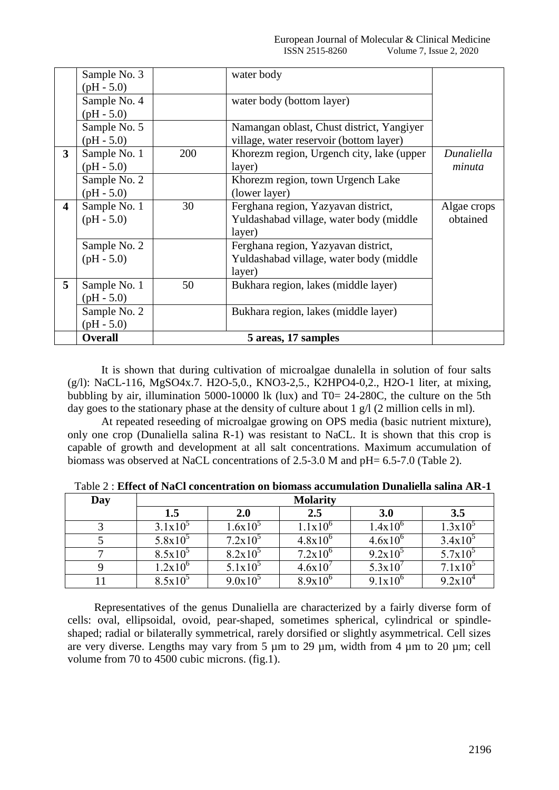|                         | Sample No. 3   |                     | water body                                |             |
|-------------------------|----------------|---------------------|-------------------------------------------|-------------|
|                         | $(pH - 5.0)$   |                     |                                           |             |
|                         | Sample No. 4   |                     | water body (bottom layer)                 |             |
|                         | $(pH - 5.0)$   |                     |                                           |             |
|                         | Sample No. 5   |                     | Namangan oblast, Chust district, Yangiyer |             |
|                         | $(pH - 5.0)$   |                     | village, water reservoir (bottom layer)   |             |
| 3                       | Sample No. 1   | 200                 | Khorezm region, Urgench city, lake (upper | Dunaliella  |
|                         | $(pH - 5.0)$   |                     | layer)                                    | minuta      |
|                         | Sample No. 2   |                     | Khorezm region, town Urgench Lake         |             |
|                         | $(pH - 5.0)$   |                     | (lower layer)                             |             |
| $\overline{\mathbf{4}}$ | Sample No. 1   | 30                  | Ferghana region, Yazyavan district,       | Algae crops |
|                         | $(pH - 5.0)$   |                     | Yuldashabad village, water body (middle   | obtained    |
|                         |                |                     | layer)                                    |             |
|                         | Sample No. 2   |                     | Ferghana region, Yazyavan district,       |             |
|                         | $(pH - 5.0)$   |                     | Yuldashabad village, water body (middle)  |             |
|                         |                |                     | layer)                                    |             |
| 5                       | Sample No. 1   | 50                  | Bukhara region, lakes (middle layer)      |             |
|                         | $(pH - 5.0)$   |                     |                                           |             |
|                         | Sample No. 2   |                     | Bukhara region, lakes (middle layer)      |             |
|                         | $(pH - 5.0)$   |                     |                                           |             |
|                         | <b>Overall</b> | 5 areas, 17 samples |                                           |             |

It is shown that during cultivation of microalgae dunalella in solution of four salts (g/l): NaCL-116, MgSO4x.7. H2O-5,0., KNO3-2,5., K2HPO4-0,2., H2O-1 liter, at mixing, bubbling by air, illumination 5000-10000 lk (lux) and T0= 24-280C, the culture on the 5th day goes to the stationary phase at the density of culture about 1  $g/$  (2 million cells in ml).

At repeated reseeding of microalgae growing on OPS media (basic nutrient mixture), only one crop (Dunaliella salina R-1) was resistant to NaCL. It is shown that this crop is capable of growth and development at all salt concentrations. Maximum accumulation of biomass was observed at NaCL concentrations of 2.5-3.0 M and pH= 6.5-7.0 (Table 2).

| Day | <b>Molarity</b> |            |              |              |            |  |
|-----|-----------------|------------|--------------|--------------|------------|--|
|     | 1.5             | <b>2.0</b> | 2.5          | <b>3.0</b>   | 3.5        |  |
|     | $3.1x10^5$      | $1.6x10^5$ | $1.1x10^{6}$ | $1.4x10^{6}$ | $1.3x10^5$ |  |
|     | $5.8x10^5$      | $7.2x10^5$ | $4.8x10^{6}$ | $4.6x10^{6}$ | $3.4x10^5$ |  |
|     | $8.5x10^3$      | $8.2x10^5$ | $7.2x10^{6}$ | $9.2x10^5$   | $5.7x10^5$ |  |
|     | $1.2x10^{6}$    | $5.1x10^5$ | 4.6x10'      | 5.3x10       | $7.1x10^3$ |  |
|     | $8.5x10^3$      | $9.0x10^5$ | $8.9x10^{6}$ | $9.1x10^{6}$ | $9.2x10^4$ |  |

Table 2 : **Effect of NaCl concentration on biomass accumulation Dunaliella salina AR-1**

Representatives of the genus Dunaliella are characterized by a fairly diverse form of cells: oval, ellipsoidal, ovoid, pear-shaped, sometimes spherical, cylindrical or spindleshaped; radial or bilaterally symmetrical, rarely dorsified or slightly asymmetrical. Cell sizes are very diverse. Lengths may vary from 5 µm to 29 µm, width from 4 µm to 20 µm; cell volume from 70 to 4500 cubic microns. (fig.1).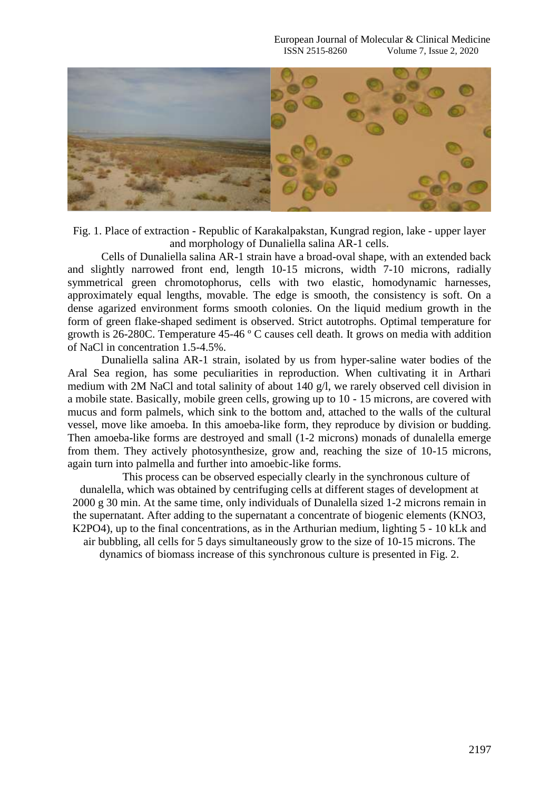

Fig. 1. Place of extraction - Republic of Karakalpakstan, Kungrad region, lake - upper layer and morphology of Dunaliella salina AR-1 cells.

Cells of Dunaliella salina AR-1 strain have a broad-oval shape, with an extended back and slightly narrowed front end, length 10-15 microns, width 7-10 microns, radially symmetrical green chromotophorus, cells with two elastic, homodynamic harnesses, approximately equal lengths, movable. The edge is smooth, the consistency is soft. On a dense agarized environment forms smooth colonies. On the liquid medium growth in the form of green flake-shaped sediment is observed. Strict autotrophs. Optimal temperature for growth is 26-280C. Temperature 45-46 º C causes cell death. It grows on media with addition of NaCl in concentration 1.5-4.5%.

Dunaliella salina AR-1 strain, isolated by us from hyper-saline water bodies of the Aral Sea region, has some peculiarities in reproduction. When cultivating it in Arthari medium with 2M NaCl and total salinity of about 140 g/l, we rarely observed cell division in a mobile state. Basically, mobile green cells, growing up to 10 - 15 microns, are covered with mucus and form palmels, which sink to the bottom and, attached to the walls of the cultural vessel, move like amoeba. In this amoeba-like form, they reproduce by division or budding. Then amoeba-like forms are destroyed and small (1-2 microns) monads of dunalella emerge from them. They actively photosynthesize, grow and, reaching the size of 10-15 microns, again turn into palmella and further into amoebic-like forms.

This process can be observed especially clearly in the synchronous culture of dunalella, which was obtained by centrifuging cells at different stages of development at 2000 g 30 min. At the same time, only individuals of Dunalella sized 1-2 microns remain in the supernatant. After adding to the supernatant a concentrate of biogenic elements (KNO3, K2PO4), up to the final concentrations, as in the Arthurian medium, lighting 5 - 10 kLk and air bubbling, all cells for 5 days simultaneously grow to the size of 10-15 microns. The dynamics of biomass increase of this synchronous culture is presented in Fig. 2.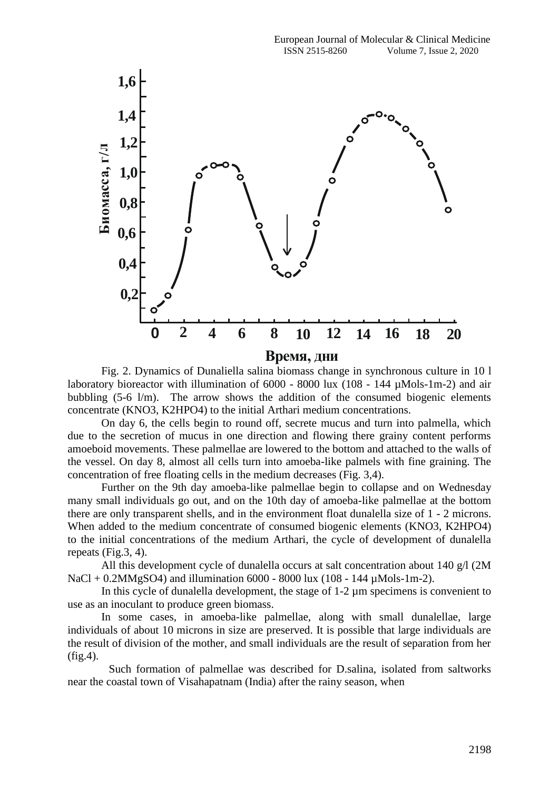

Fig. 2. Dynamics of Dunaliella salina biomass change in synchronous culture in 10 l laboratory bioreactor with illumination of 6000 - 8000 lux (108 - 144 µMols-1m-2) and air bubbling (5-6 l/m). The arrow shows the addition of the consumed biogenic elements concentrate (KNO3, K2HPO4) to the initial Arthari medium concentrations.

On day 6, the cells begin to round off, secrete mucus and turn into palmella, which due to the secretion of mucus in one direction and flowing there grainy content performs amoeboid movements. These palmellae are lowered to the bottom and attached to the walls of the vessel. On day 8, almost all cells turn into amoeba-like palmels with fine graining. The concentration of free floating cells in the medium decreases (Fig. 3,4).

Further on the 9th day amoeba-like palmellae begin to collapse and on Wednesday many small individuals go out, and on the 10th day of amoeba-like palmellae at the bottom there are only transparent shells, and in the environment float dunalella size of 1 - 2 microns. When added to the medium concentrate of consumed biogenic elements (KNO3, K2HPO4) to the initial concentrations of the medium Arthari, the cycle of development of dunalella repeats (Fig.3, 4).

All this development cycle of dunalella occurs at salt concentration about 140  $g/$  (2M NaCl + 0.2MMgSO4) and illumination 6000 - 8000 lux (108 - 144 µMols-1m-2).

In this cycle of dunalella development, the stage of 1-2 µm specimens is convenient to use as an inoculant to produce green biomass.

In some cases, in amoeba-like palmellae, along with small dunalellae, large individuals of about 10 microns in size are preserved. It is possible that large individuals are the result of division of the mother, and small individuals are the result of separation from her (fig.4).

 Such formation of palmellae was described for D.salina, isolated from saltworks near the coastal town of Visahapatnam (India) after the rainy season, when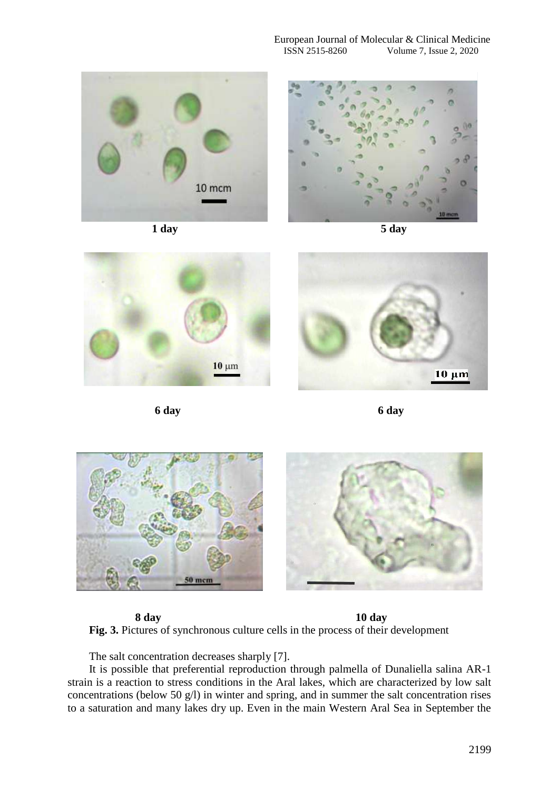

**1 day 5 day**









**6 day 6 day**



**8 day 10 day Fig. 3.** Pictures of synchronous culture cells in the process of their development

The salt concentration decreases sharply [7].

It is possible that preferential reproduction through palmella of Dunaliella salina AR-1 strain is a reaction to stress conditions in the Aral lakes, which are characterized by low salt concentrations (below 50 g/l) in winter and spring, and in summer the salt concentration rises to a saturation and many lakes dry up. Even in the main Western Aral Sea in September the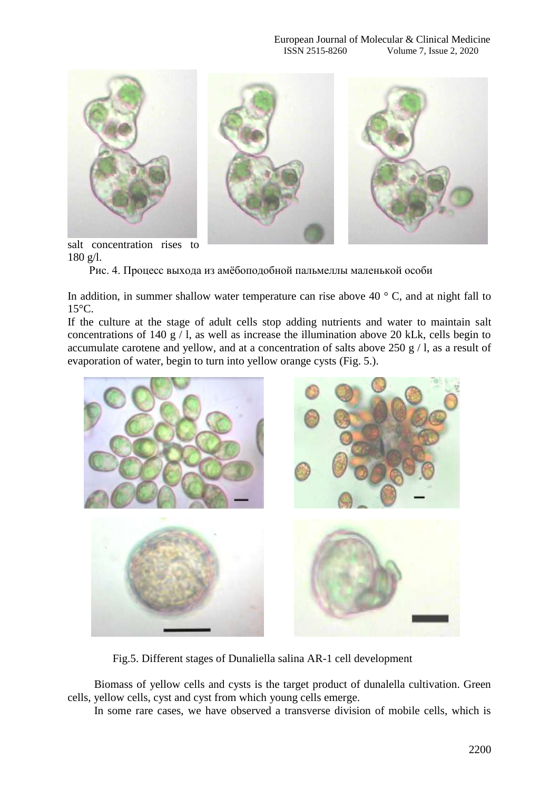

salt concentration rises to 180 g/l.

Рис. 4. Процесс выхода из амёбоподобной пальмеллы маленькой особи

In addition, in summer shallow water temperature can rise above 40  $\degree$  C, and at night fall to 15°C.

If the culture at the stage of adult cells stop adding nutrients and water to maintain salt concentrations of 140 g  $/$  l, as well as increase the illumination above 20 kLk, cells begin to accumulate carotene and yellow, and at a concentration of salts above  $250 \text{ g}$  / l, as a result of evaporation of water, begin to turn into yellow orange cysts (Fig. 5.).



Fig.5. Different stages of Dunaliella salina AR-1 cell development

Biomass of yellow cells and cysts is the target product of dunalella cultivation. Green cells, yellow cells, cyst and cyst from which young cells emerge.

In some rare cases, we have observed a transverse division of mobile cells, which is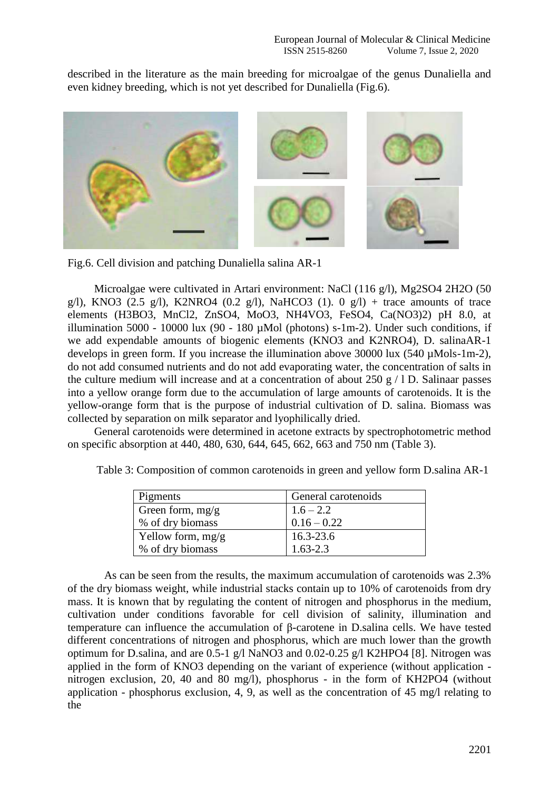described in the literature as the main breeding for microalgae of the genus Dunaliella and even kidney breeding, which is not yet described for Dunaliella (Fig.6).



Fig.6. Cell division and patching Dunaliella salina AR-1

Microalgae were cultivated in Artari environment: NaCl (116 g/l), Mg2SO4 2H2O (50 g/l), KNO3 (2.5 g/l), K2NRO4 (0.2 g/l), NaHCO3 (1). 0 g/l) + trace amounts of trace elements (H3BO3, MnCl2, ZnSO4, MoO3, NH4VO3, FeSO4, Ca(NO3)2) pH 8.0, at illumination 5000 - 10000 lux (90 - 180  $\mu$ Mol (photons) s-1m-2). Under such conditions, if we add expendable amounts of biogenic elements (KNO3 and K2NRO4), D. salinaAR-1 develops in green form. If you increase the illumination above 30000 lux (540 µMols-1m-2), do not add consumed nutrients and do not add evaporating water, the concentration of salts in the culture medium will increase and at a concentration of about 250  $g / 1$  D. Salinaar passes into a yellow orange form due to the accumulation of large amounts of carotenoids. It is the yellow-orange form that is the purpose of industrial cultivation of D. salina. Biomass was collected by separation on milk separator and lyophilically dried.

General carotenoids were determined in acetone extracts by spectrophotometric method on specific absorption at 440, 480, 630, 644, 645, 662, 663 and 750 nm (Table 3).

| Pigments            | General carotenoids |
|---------------------|---------------------|
| Green form, $mg/g$  | $1.6 - 2.2$         |
| % of dry biomass    | $0.16 - 0.22$       |
| Yellow form, $mg/g$ | 16.3-23.6           |
| % of dry biomass    | $1.63 - 2.3$        |

Table 3: Composition of common carotenoids in green and yellow form D.salina AR-1

 As can be seen from the results, the maximum accumulation of carotenoids was 2.3% of the dry biomass weight, while industrial stacks contain up to 10% of carotenoids from dry mass. It is known that by regulating the content of nitrogen and phosphorus in the medium, cultivation under conditions favorable for cell division of salinity, illumination and temperature can influence the accumulation of β-carotene in D.salina cells. We have tested different concentrations of nitrogen and phosphorus, which are much lower than the growth optimum for D.salina, and are 0.5-1 g/l NaNO3 and 0.02-0.25 g/l K2HPO4 [8]. Nitrogen was applied in the form of KNO3 depending on the variant of experience (without application nitrogen exclusion, 20, 40 and 80 mg/l), phosphorus - in the form of KH2PO4 (without application - phosphorus exclusion, 4, 9, as well as the concentration of 45 mg/l relating to the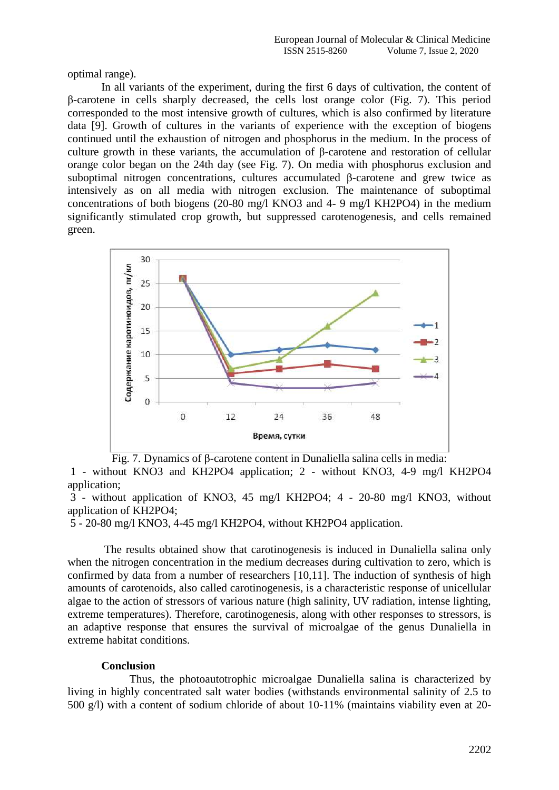optimal range).

In all variants of the experiment, during the first 6 days of cultivation, the content of β-carotene in cells sharply decreased, the cells lost orange color (Fig. 7). This period corresponded to the most intensive growth of cultures, which is also confirmed by literature data [9]. Growth of cultures in the variants of experience with the exception of biogens continued until the exhaustion of nitrogen and phosphorus in the medium. In the process of culture growth in these variants, the accumulation of β-carotene and restoration of cellular orange color began on the 24th day (see Fig. 7). On media with phosphorus exclusion and suboptimal nitrogen concentrations, cultures accumulated β-carotene and grew twice as intensively as on all media with nitrogen exclusion. The maintenance of suboptimal concentrations of both biogens (20-80 mg/l KNO3 and 4- 9 mg/l KH2PO4) in the medium significantly stimulated crop growth, but suppressed carotenogenesis, and cells remained green.



Fig. 7. Dynamics of β-carotene content in Dunaliella salina cells in media:

1 - without KNO3 and KH2PO4 application; 2 - without KNO3, 4-9 mg/l KH2PO4 application;

3 - without application of KNO3, 45 mg/l KH2PO4; 4 - 20-80 mg/l KNO3, without application of KH2PO4;

5 - 20-80 mg/l KNO3, 4-45 mg/l KH2PO4, without KH2PO4 application.

The results obtained show that carotinogenesis is induced in Dunaliella salina only when the nitrogen concentration in the medium decreases during cultivation to zero, which is confirmed by data from a number of researchers [10,11]. The induction of synthesis of high amounts of carotenoids, also called carotinogenesis, is a characteristic response of unicellular algae to the action of stressors of various nature (high salinity, UV radiation, intense lighting, extreme temperatures). Therefore, carotinogenesis, along with other responses to stressors, is an adaptive response that ensures the survival of microalgae of the genus Dunaliella in extreme habitat conditions.

## **Conclusion**

 Thus, the photoautotrophic microalgae Dunaliella salina is characterized by living in highly concentrated salt water bodies (withstands environmental salinity of 2.5 to 500 g/l) with a content of sodium chloride of about 10-11% (maintains viability even at 20